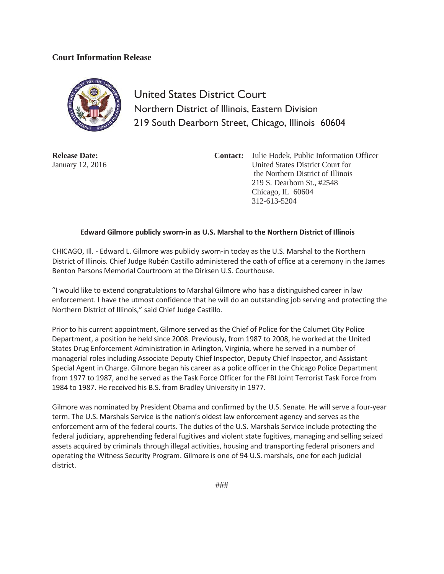## **Court Information Release**



United States District Court Northern District of Illinois, Eastern Division 219 South Dearborn Street, Chicago, Illinois 60604

**Release Date:** January 12, 2016

**Contact:** Julie Hodek, Public Information Officer United States District Court for the Northern District of Illinois 219 S. Dearborn St., #2548 Chicago, IL 60604 312-613-5204

## **Edward Gilmore publicly sworn-in as U.S. Marshal to the Northern District of Illinois**

CHICAGO, Ill. - Edward L. Gilmore was publicly sworn-in today as the U.S. Marshal to the Northern District of Illinois. Chief Judge Rubén Castillo administered the oath of office at a ceremony in the James Benton Parsons Memorial Courtroom at the Dirksen U.S. Courthouse.

"I would like to extend congratulations to Marshal Gilmore who has a distinguished career in law enforcement. I have the utmost confidence that he will do an outstanding job serving and protecting the Northern District of Illinois," said Chief Judge Castillo.

Prior to his current appointment, Gilmore served as the Chief of Police for the Calumet City Police Department, a position he held since 2008. Previously, from 1987 to 2008, he worked at the United States Drug Enforcement Administration in Arlington, Virginia, where he served in a number of managerial roles including Associate Deputy Chief Inspector, Deputy Chief Inspector, and Assistant Special Agent in Charge. Gilmore began his career as a police officer in the Chicago Police Department from 1977 to 1987, and he served as the Task Force Officer for the FBI Joint Terrorist Task Force from 1984 to 1987. He received his B.S. from Bradley University in 1977.

Gilmore was nominated by President Obama and confirmed by the U.S. Senate. He will serve a four-year term. The U.S. Marshals Service is the nation's oldest law enforcement agency and serves as the enforcement arm of the federal courts. The duties of the U.S. Marshals Service include protecting the federal judiciary, apprehending federal fugitives and violent state fugitives, managing and selling seized assets acquired by criminals through illegal activities, housing and transporting federal prisoners and operating the Witness Security Program. Gilmore is one of 94 U.S. marshals, one for each judicial district.